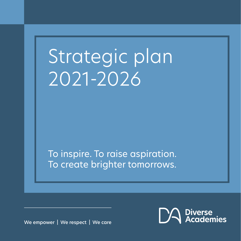# Strategic plan 2021-2026

To inspire. To raise aspiration. To create brighter tomorrows.

We empower | We respect | We care

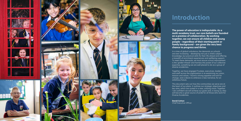# **Introduction**

**The power of education is indisputable. As a multi-academy trust, our core beliefs are founded on a premise of collaboration. By working together, we can ensure all children and young people – regardless of their starting point or family background – are given the very best chance to progress and thrive.**

In a time of global turbulence, the demands on schools are ever increasing – developing not just a child's subject knowledge, but practical skills for their life ahead and offering a breadth of enrichment experiences and wellbeing support. To meet these demands, we must ensure school improvement is the 'golden thread' and harness the power of our collective expertise, something we are well placed to do as a group of











diverse academies.

Together, we have engaged Trustees, executives, leaders and staff across the organisation in re-examining our vision, mission and values. I found a strong appetite and will for change, and a desire to embrace a new narrative, for an ambitious future.

This document sets out how the communities we serve are at the heart of our plans. It outlines our strategic objectives and key aims, which are routed in a new, unifying vision. Together, I am confident we will achieve our goals and, in doing so, they will become a great source of pride for all those who work for Diverse Academies.

**David Cotton**  Chief Executive Officer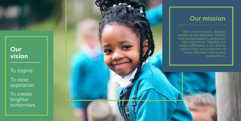

# **Our vision**

To inspire.

To raise aspiration.

To create brighter tomorrows.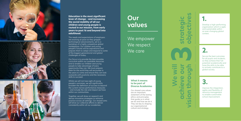**objectives strategic vision through**  $\mathbf{D}$ ┻  $\mathbf 0$ سنخد س  $\bullet$  mass  $\bullet$  $\overline{\phantom{a}}$  $\sum_{i=1}^{n}$  $\bullet$  and  $\bullet$ n  $\bullet$  $\blacktriangleright$ 

# **We will achieve our 3**

Develop a high-performing organisation which is agile and sustainable within an ever-changing global context.

# **1.**

Secure the best outcomes for all pupils and students, so they achieve their full potential academically and have the skills to be able to actively contribute to a global society.

# **2.**

Improve the integration, agility and flexibility of resource management to enable sustainable school improvement.









**Education is the most significant lever of change – and increasing the social mobility of all our children and young people is routed in our mission, from early years to post 16 and beyond into adulthood.**

The needs and expectations of employers are evolving at pace as they grapple technological advancements, set to a backdrop of a highly competitive global marketplace. Our children and young people's futures will be aspirational and prepare them to adapt and respond to some of the biggest generational and global challenges of today.

Our focus is to provide the best possible curriculum within our available resources and to enable our children and young people to take advantage of every opportunity they can. We must prepare them for the world they will encounter in the years to come and ensure they can look outwards with positivity and the necessary skills to succeed.

Whilst we will not lose sight of young people's outcomes, we will significantly broaden the definition of success to beyond the current narrow performance measures – and include the role and impact we have within our communities.

Together, we will draw on research and devise innovative strategies to enhance practice across all settings. Our shared aims will drive our collective efforts to deliver consistently within all our academies.

# **Our values**

We empower We respect We care

#### **What it means to be part of Diverse Academies**

Our shared core values are an important statement of the lasting ethics and principles that guide us in what we do and how we do it. They are key to shaping our organisational culture and strategy.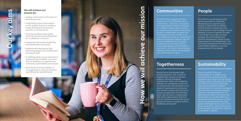#### **We will achieve our mission by:**

- putting communities at the heart of everything we do
- establishing school improvement as the 'golden thread' to enabling a high standard of educational provision in all that we do
- ensuring we deliver high quality teaching and learning underpinned by an ambitious curriculum
- integrating high quality leadership and governance at all levels
- professionally developing highperforming people and collaborative learning of staff
- re-defining what success looks like to go beyond just academic outcomes, with an emphasis on togetherness, community, sustainability and people
- ensuring the financial stability of our organisation, with our resources used efficiently and effectively.

We will actively engage and have influence across all elements of our communities – employers, institutions and organisations critical to shaping our children's futures. We will evolve our aspirations for children and young people to enable them to apply their knowledge and skills, so they move onto destinations that our communities need and employers demand. We will focus our attentions on the quality of education we provide, and the impact and delivery of the breadth of curriculum – all of which serve the best interests of the children, young people and communities we serve.

## **Communities**

## **Togetherness**

We will focus and develop highperforming teams with a sense of togetherness towards a common purpose. We will strengthen togetherness within our academies, between our academies and across our communities. We will build on our sense of organisational community and remind ourselves that the sum is always stronger than the individual parts. We will work in collaboration with other organisations and local schools, and build strong links across groups of schools to support system leadership and growth.

## **People**

We will focus on developing highperforming staff by continually developing and supporting our people, so they have the highest level of technical, leadership and coaching skills and knowledge. We will develop a culture of growth through a structured Trust-wide coaching strategy. We will facilitate joint practice development, based on the latest research and development. We will always emphasise the importance of the health, wellbeing, care and empowerment of our people.

## **Sustainability**

We will provide a focus on sustainability in its widest sense to ensure future generations are supported with issues such as climate change, poverty and equity for all. We will utilise our resources effectively and reap the benefits of digital advancements to maximise our impact. We will ensure our students develop resilience and adaptability for the skills they will need in the future. We will provide a curriculum offer in our academies that educates our children and young people about the wider global challenges facing current and future generations. We will ensure our staff are agile and flexible to respond to whatever is needed.

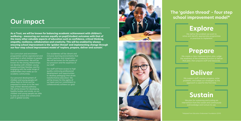#### **The 'golden thread' – four step school improvement model\***









# **Our impact**

**As a Trust, we will be known for balancing academic achievement with children's wellbeing – measuring our success equally on pupil/student outcomes with that of the many other valuable aspects of education such as confidence, critical thinking, empathy, resilience, collaboration and creativity. This will be enabled by always ensuring school improvement is the 'golden thread' and implementing change through our four-step school improvement model of 'explore, prepare, deliver and sustain'.**

Our curriculum and enrichment programmes will be aspirational and grounded in what matters to people and our communities. We will be known for the strong relationships we develop with children, young people and their families, and for engaging with the wide range of stakeholders that make up our academy communities.

Our personal development of children and young people will allow them to thrive and be prepared to move on to the next step of their desired pathway. We will be known for developing healthy bodies and minds, so our children and young people are able to play an active and constructive part in global society.

We support staff, monitor progress, solve problems, and adapt our strategies as the approach is used for the first time.

Our academies will be vibrant and inclusive learning environments that ignite creativity and imagination. We will be known for the quality of our provision and the expertise of our staff.

Our staff will have access to high quality continuing professional development and opportunities to develop pedagogy that drives transformative education. We will be known for the agility of our team and our commitment to collaboratively achieve our goal.





\*Adapted from Education Endowment Foundation (2019)

# **Explore**

We define the problem we want to solve and identify appropriate programmes

# **Prepare**

We create a clear implementation plan, judge the readiness of the academy/function to deliver that plan, then prepare staff and resources.

# **Deliver**

# **Sustain**

We plan for sustaining and scaling an intervention from the outset and continuously acknowledge and nurture its use.